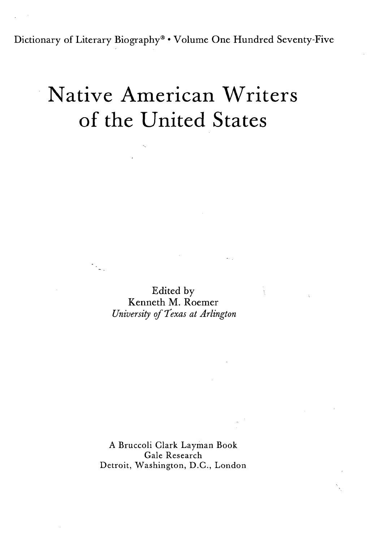Dictionary of Literary Biography® • Volume One Hundred Seventy-Five

## Native American Writers of the United States

Edited by Kenneth M. Roemer *University of Texas at Arlington*

 $\frac{1}{2}$  .

A Bruccoli Clark Layman Book Gale Research Detroit, Washington, D.C., London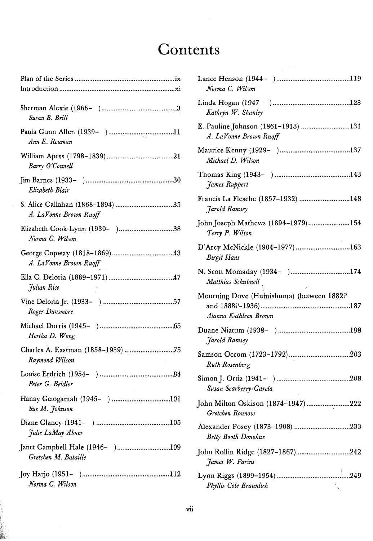## **Contents**

| Susan B. Brill         |
|------------------------|
| Ann E. Reuman          |
| Barry O'Connell        |
| Elizabeth Blair        |
| A. LaVonne Brown Ruoff |
| Norma C. Wilson        |
| A. LaVonne Brown Ruoff |
| Julian Rice            |
| Roger Dunsmore         |
| Hertha D. Wong         |
| Raymond Wilson         |
| Peter G. Beidler       |
| Sue M. Johnson         |
| Julie LaMay Abner      |
| Gretchen M. Bataille   |
| Norma C. Wilson        |

| Norma C. Wilson                                                   |
|-------------------------------------------------------------------|
| Kathryn W. Shanley                                                |
| E. Pauline Johnson (1861-1913) 131<br>A. LaVonne Brown Ruoff      |
| Michael D. Wilson                                                 |
| James Ruppert                                                     |
| Francis La Flesche (1857–1932) 148<br><b>Jarold Ramsey</b>        |
| John Joseph Mathews (1894-1979)154<br>Terry P. Wilson             |
| D'Arcy McNickle (1904-1977)163<br><b>Birgit Hans</b>              |
| N. Scott Momaday (1934- )174<br>Matthias Schubnell                |
| Mourning Dove (Humishuma) (between 1882?<br>Alanna Kathleen Brown |
| <b>Jarold Ramsey</b>                                              |
| <b>Ruth Rosenberg</b>                                             |
| Susan Scarberry-García                                            |
| John Milton Oskison (1874–1947)222<br>Gretchen Ronnow             |
| Alexander Posey (1873-1908) 233<br><b>Betty Booth Donohue</b>     |
| John Rollin Ridge (1827–1867) 242<br>James W. Parins              |
| Phyllis Cole Braunlich                                            |